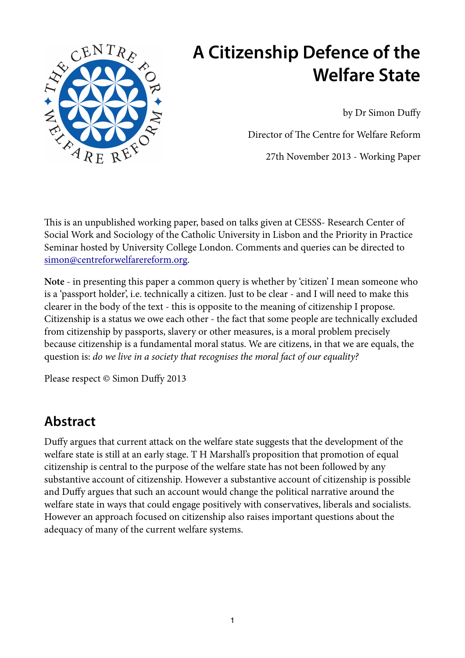

# **A Citizenship Defence of the Welfare State**

by Dr Simon Duffy

Director of The Centre for Welfare Reform

27th November 2013 - Working Paper

This is an unpublished working paper, based on talks given at CESSS- Research Center of Social Work and Sociology of the Catholic University in Lisbon and the Priority in Practice Seminar hosted by University College London. Comments and queries can be directed to [simon@centreforwelfarereform.org.](mailto:simon@centreforwelfarereform.org)

**Note** - in presenting this paper a common query is whether by 'citizen' I mean someone who is a 'passport holder', i.e. technically a citizen. Just to be clear - and I will need to make this clearer in the body of the text - this is opposite to the meaning of citizenship I propose. Citizenship is a status we owe each other - the fact that some people are technically excluded from citizenship by passports, slavery or other measures, is a moral problem precisely because citizenship is a fundamental moral status. We are citizens, in that we are equals, the question is: *do we live in a society that recognises the moral fact of our equality?* 

Please respect © Simon Duffy 2013

# **Abstract**

Duffy argues that current attack on the welfare state suggests that the development of the welfare state is still at an early stage. T H Marshall's proposition that promotion of equal citizenship is central to the purpose of the welfare state has not been followed by any substantive account of citizenship. However a substantive account of citizenship is possible and Duffy argues that such an account would change the political narrative around the welfare state in ways that could engage positively with conservatives, liberals and socialists. However an approach focused on citizenship also raises important questions about the adequacy of many of the current welfare systems.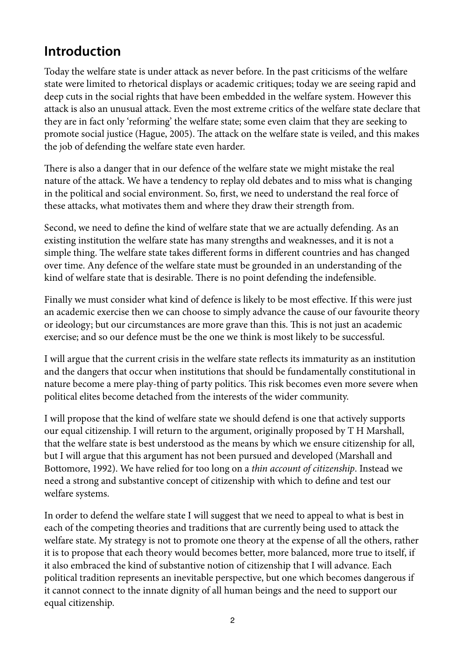# **Introduction**

Today the welfare state is under attack as never before. In the past criticisms of the welfare state were limited to rhetorical displays or academic critiques; today we are seeing rapid and deep cuts in the social rights that have been embedded in the welfare system. However this attack is also an unusual attack. Even the most extreme critics of the welfare state declare that they are in fact only 'reforming' the welfare state; some even claim that they are seeking to promote social justice (Hague, 2005). The attack on the welfare state is veiled, and this makes the job of defending the welfare state even harder.

There is also a danger that in our defence of the welfare state we might mistake the real nature of the attack. We have a tendency to replay old debates and to miss what is changing in the political and social environment. So, frst, we need to understand the real force of these attacks, what motivates them and where they draw their strength from.

Second, we need to defne the kind of welfare state that we are actually defending. As an existing institution the welfare state has many strengths and weaknesses, and it is not a simple thing. The welfare state takes different forms in different countries and has changed over time. Any defence of the welfare state must be grounded in an understanding of the kind of welfare state that is desirable. There is no point defending the indefensible.

Finally we must consider what kind of defence is likely to be most effective. If this were just an academic exercise then we can choose to simply advance the cause of our favourite theory or ideology; but our circumstances are more grave than this. This is not just an academic exercise; and so our defence must be the one we think is most likely to be successful.

I will argue that the current crisis in the welfare state refects its immaturity as an institution and the dangers that occur when institutions that should be fundamentally constitutional in nature become a mere play-thing of party politics. This risk becomes even more severe when political elites become detached from the interests of the wider community.

I will propose that the kind of welfare state we should defend is one that actively supports our equal citizenship. I will return to the argument, originally proposed by T H Marshall, that the welfare state is best understood as the means by which we ensure citizenship for all, but I will argue that this argument has not been pursued and developed (Marshall and Bottomore, 1992). We have relied for too long on a *thin account of citizenship*. Instead we need a strong and substantive concept of citizenship with which to defne and test our welfare systems.

In order to defend the welfare state I will suggest that we need to appeal to what is best in each of the competing theories and traditions that are currently being used to attack the welfare state. My strategy is not to promote one theory at the expense of all the others, rather it is to propose that each theory would becomes better, more balanced, more true to itself, if it also embraced the kind of substantive notion of citizenship that I will advance. Each political tradition represents an inevitable perspective, but one which becomes dangerous if it cannot connect to the innate dignity of all human beings and the need to support our equal citizenship.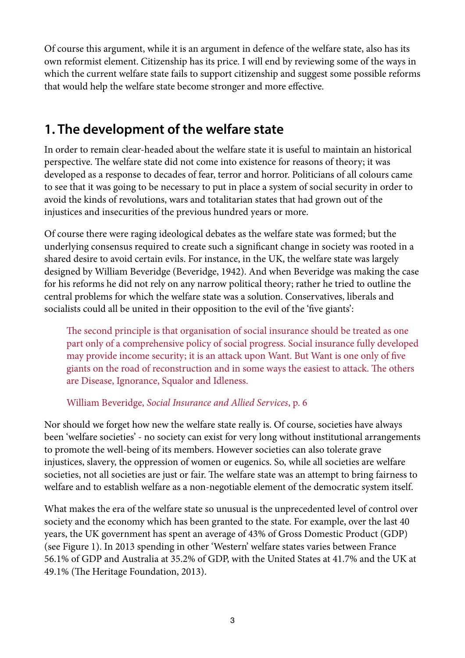Of course this argument, while it is an argument in defence of the welfare state, also has its own reformist element. Citizenship has its price. I will end by reviewing some of the ways in which the current welfare state fails to support citizenship and suggest some possible reforms that would help the welfare state become stronger and more effective.

# **1. The development of the welfare state**

In order to remain clear-headed about the welfare state it is useful to maintain an historical perspective. The welfare state did not come into existence for reasons of theory; it was developed as a response to decades of fear, terror and horror. Politicians of all colours came to see that it was going to be necessary to put in place a system of social security in order to avoid the kinds of revolutions, wars and totalitarian states that had grown out of the injustices and insecurities of the previous hundred years or more.

Of course there were raging ideological debates as the welfare state was formed; but the underlying consensus required to create such a signifcant change in society was rooted in a shared desire to avoid certain evils. For instance, in the UK, the welfare state was largely designed by William Beveridge (Beveridge, 1942). And when Beveridge was making the case for his reforms he did not rely on any narrow political theory; rather he tried to outline the central problems for which the welfare state was a solution. Conservatives, liberals and socialists could all be united in their opposition to the evil of the 'fve giants':

The second principle is that organisation of social insurance should be treated as one part only of a comprehensive policy of social progress. Social insurance fully developed may provide income security; it is an attack upon Want. But Want is one only of fve giants on the road of reconstruction and in some ways the easiest to attack. The others are Disease, Ignorance, Squalor and Idleness.

### William Beveridge, *Social Insurance and Allied Services*, p. 6

Nor should we forget how new the welfare state really is. Of course, societies have always been 'welfare societies' - no society can exist for very long without institutional arrangements to promote the well-being of its members. However societies can also tolerate grave injustices, slavery, the oppression of women or eugenics. So, while all societies are welfare societies, not all societies are just or fair. The welfare state was an attempt to bring fairness to welfare and to establish welfare as a non-negotiable element of the democratic system itself.

What makes the era of the welfare state so unusual is the unprecedented level of control over society and the economy which has been granted to the state. For example, over the last 40 years, the UK government has spent an average of 43% of Gross Domestic Product (GDP) (see Figure 1). In 2013 spending in other 'Western' welfare states varies between France 56.1% of GDP and Australia at 35.2% of GDP, with the United States at 41.7% and the UK at 49.1% (The Heritage Foundation, 2013).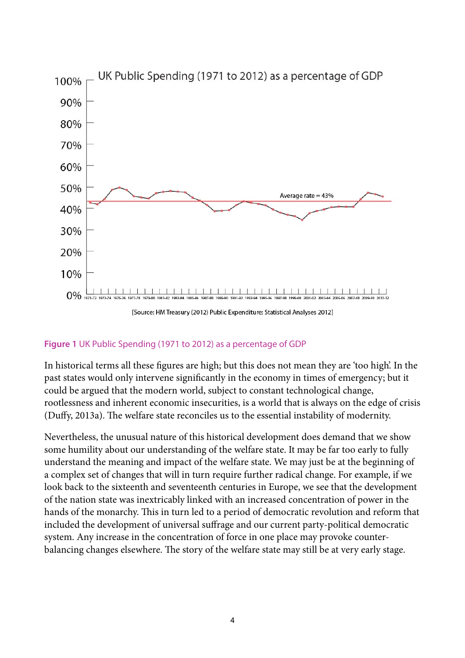

#### **Figure 1** UK Public Spending (1971 to 2012) as a percentage of GDP

In historical terms all these fgures are high; but this does not mean they are 'too high'. In the past states would only intervene signifcantly in the economy in times of emergency; but it could be argued that the modern world, subject to constant technological change, rootlessness and inherent economic insecurities, is a world that is always on the edge of crisis (Duffy, 2013a). The welfare state reconciles us to the essential instability of modernity.

Nevertheless, the unusual nature of this historical development does demand that we show some humility about our understanding of the welfare state. It may be far too early to fully understand the meaning and impact of the welfare state. We may just be at the beginning of a complex set of changes that will in turn require further radical change. For example, if we look back to the sixteenth and seventeenth centuries in Europe, we see that the development of the nation state was inextricably linked with an increased concentration of power in the hands of the monarchy. This in turn led to a period of democratic revolution and reform that included the development of universal suffrage and our current party-political democratic system. Any increase in the concentration of force in one place may provoke counterbalancing changes elsewhere. The story of the welfare state may still be at very early stage.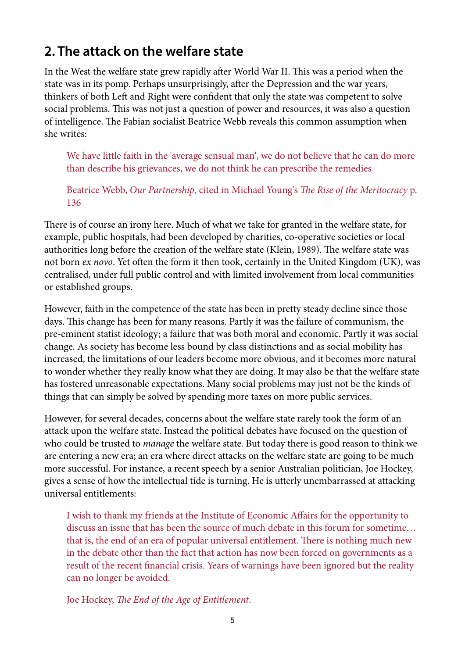# **2. The attack on the welfare state**

In the West the welfare state grew rapidly after World War II. This was a period when the state was in its pomp. Perhaps unsurprisingly, after the Depression and the war years, thinkers of both Left and Right were confident that only the state was competent to solve social problems. This was not just a question of power and resources, it was also a question of intelligence. The Fabian socialist Beatrice Webb reveals this common assumption when she writes:

We have little faith in the 'average sensual man', we do not believe that he can do more than describe his grievances, we do not think he can prescribe the remedies

Beatrice Webb, *Our Partnership*, cited in Michael Young's *The Rise of the Meritocracy p.* 136

There is of course an irony here. Much of what we take for granted in the welfare state, for example, public hospitals, had been developed by charities, co-operative societies or local authorities long before the creation of the welfare state (Klein, 1989). The welfare state was not born *ex novo*. Yet often the form it then took, certainly in the United Kingdom (UK), was centralised, under full public control and with limited involvement from local communities or established groups.

However, faith in the competence of the state has been in pretty steady decline since those days. This change has been for many reasons. Partly it was the failure of communism, the pre-eminent statist ideology; a failure that was both moral and economic. Partly it was social change. As society has become less bound by class distinctions and as social mobility has increased, the limitations of our leaders become more obvious, and it becomes more natural to wonder whether they really know what they are doing. It may also be that the welfare state has fostered unreasonable expectations. Many social problems may just not be the kinds of things that can simply be solved by spending more taxes on more public services.

However, for several decades, concerns about the welfare state rarely took the form of an attack upon the welfare state. Instead the political debates have focused on the question of who could be trusted to *manage* the welfare state. But today there is good reason to think we are entering a new era; an era where direct attacks on the welfare state are going to be much more successful. For instance, a recent speech by a senior Australian politician, Joe Hockey, gives a sense of how the intellectual tide is turning. He is utterly unembarrassed at attacking universal entitlements:

I wish to thank my friends at the Institute of Economic Affairs for the opportunity to discuss an issue that has been the source of much debate in this forum for sometime… that is, the end of an era of popular universal entitlement. There is nothing much new in the debate other than the fact that action has now been forced on governments as a result of the recent fnancial crisis. Years of warnings have been ignored but the reality can no longer be avoided.

Joe Hockey, T*e End of the Age of Entitlement*.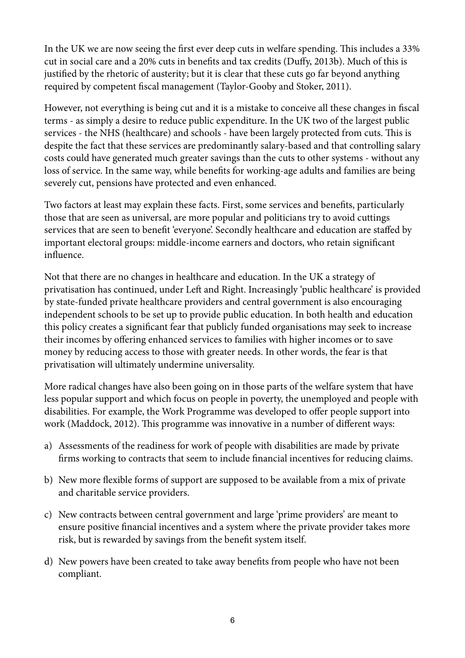In the UK we are now seeing the first ever deep cuts in welfare spending. This includes a 33% cut in social care and a 20% cuts in benefts and tax credits (Duffy, 2013b). Much of this is justifed by the rhetoric of austerity; but it is clear that these cuts go far beyond anything required by competent fscal management (Taylor-Gooby and Stoker, 2011).

However, not everything is being cut and it is a mistake to conceive all these changes in fscal terms - as simply a desire to reduce public expenditure. In the UK two of the largest public services - the NHS (healthcare) and schools - have been largely protected from cuts. This is despite the fact that these services are predominantly salary-based and that controlling salary costs could have generated much greater savings than the cuts to other systems - without any loss of service. In the same way, while benefts for working-age adults and families are being severely cut, pensions have protected and even enhanced.

Two factors at least may explain these facts. First, some services and benefts, particularly those that are seen as universal, are more popular and politicians try to avoid cuttings services that are seen to beneft 'everyone'. Secondly healthcare and education are staffed by important electoral groups: middle-income earners and doctors, who retain signifcant infuence.

Not that there are no changes in healthcare and education. In the UK a strategy of privatisation has continued, under Left and Right. Increasingly 'public healthcare' is provided by state-funded private healthcare providers and central government is also encouraging independent schools to be set up to provide public education. In both health and education this policy creates a signifcant fear that publicly funded organisations may seek to increase their incomes by offering enhanced services to families with higher incomes or to save money by reducing access to those with greater needs. In other words, the fear is that privatisation will ultimately undermine universality.

More radical changes have also been going on in those parts of the welfare system that have less popular support and which focus on people in poverty, the unemployed and people with disabilities. For example, the Work Programme was developed to offer people support into work (Maddock, 2012). This programme was innovative in a number of different ways:

- a) Assessments of the readiness for work of people with disabilities are made by private frms working to contracts that seem to include fnancial incentives for reducing claims.
- b) New more fexible forms of support are supposed to be available from a mix of private and charitable service providers.
- c) New contracts between central government and large 'prime providers' are meant to ensure positive fnancial incentives and a system where the private provider takes more risk, but is rewarded by savings from the beneft system itself.
- d) New powers have been created to take away benefts from people who have not been compliant.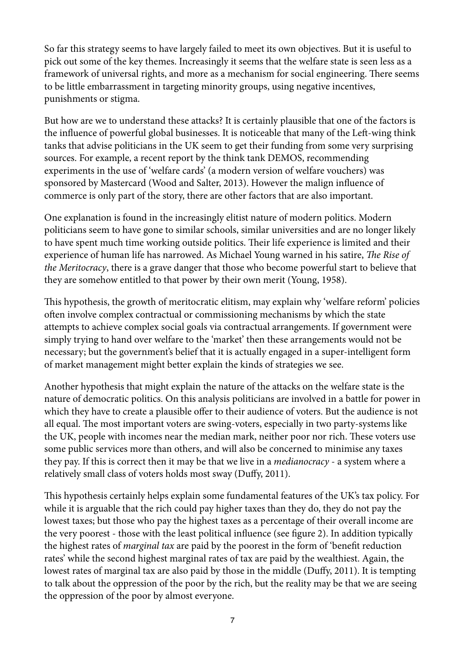So far this strategy seems to have largely failed to meet its own objectives. But it is useful to pick out some of the key themes. Increasingly it seems that the welfare state is seen less as a framework of universal rights, and more as a mechanism for social engineering. There seems to be little embarrassment in targeting minority groups, using negative incentives, punishments or stigma.

But how are we to understand these attacks? It is certainly plausible that one of the factors is the influence of powerful global businesses. It is noticeable that many of the Left-wing think tanks that advise politicians in the UK seem to get their funding from some very surprising sources. For example, a recent report by the think tank DEMOS, recommending experiments in the use of 'welfare cards' (a modern version of welfare vouchers) was sponsored by Mastercard (Wood and Salter, 2013). However the malign infuence of commerce is only part of the story, there are other factors that are also important.

One explanation is found in the increasingly elitist nature of modern politics. Modern politicians seem to have gone to similar schools, similar universities and are no longer likely to have spent much time working outside politics. Their life experience is limited and their experience of human life has narrowed. As Michael Young warned in his satire, *The Rise of the Meritocracy*, there is a grave danger that those who become powerful start to believe that they are somehow entitled to that power by their own merit (Young, 1958).

This hypothesis, the growth of meritocratic elitism, may explain why 'welfare reform' policies ofen involve complex contractual or commissioning mechanisms by which the state attempts to achieve complex social goals via contractual arrangements. If government were simply trying to hand over welfare to the 'market' then these arrangements would not be necessary; but the government's belief that it is actually engaged in a super-intelligent form of market management might better explain the kinds of strategies we see.

Another hypothesis that might explain the nature of the attacks on the welfare state is the nature of democratic politics. On this analysis politicians are involved in a battle for power in which they have to create a plausible offer to their audience of voters. But the audience is not all equal. The most important voters are swing-voters, especially in two party-systems like the UK, people with incomes near the median mark, neither poor nor rich. These voters use some public services more than others, and will also be concerned to minimise any taxes they pay. If this is correct then it may be that we live in a *medianocracy* - a system where a relatively small class of voters holds most sway (Duffy, 2011).

This hypothesis certainly helps explain some fundamental features of the UK's tax policy. For while it is arguable that the rich could pay higher taxes than they do, they do not pay the lowest taxes; but those who pay the highest taxes as a percentage of their overall income are the very poorest - those with the least political infuence (see fgure 2). In addition typically the highest rates of *marginal tax* are paid by the poorest in the form of 'beneft reduction rates' while the second highest marginal rates of tax are paid by the wealthiest. Again, the lowest rates of marginal tax are also paid by those in the middle (Duffy, 2011). It is tempting to talk about the oppression of the poor by the rich, but the reality may be that we are seeing the oppression of the poor by almost everyone.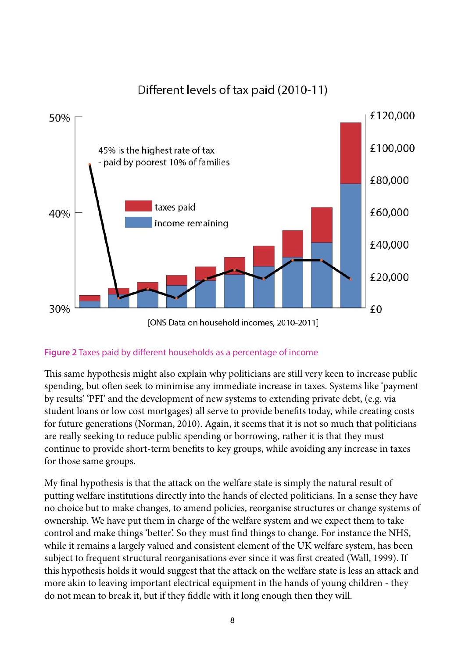

### Different levels of tax paid (2010-11)

#### **Figure 2** Taxes paid by different households as a percentage of income

This same hypothesis might also explain why politicians are still very keen to increase public spending, but often seek to minimise any immediate increase in taxes. Systems like 'payment by results' 'PFI' and the development of new systems to extending private debt, (e.g. via student loans or low cost mortgages) all serve to provide benefts today, while creating costs for future generations (Norman, 2010). Again, it seems that it is not so much that politicians are really seeking to reduce public spending or borrowing, rather it is that they must continue to provide short-term benefts to key groups, while avoiding any increase in taxes for those same groups.

My fnal hypothesis is that the attack on the welfare state is simply the natural result of putting welfare institutions directly into the hands of elected politicians. In a sense they have no choice but to make changes, to amend policies, reorganise structures or change systems of ownership. We have put them in charge of the welfare system and we expect them to take control and make things 'better'. So they must fnd things to change. For instance the NHS, while it remains a largely valued and consistent element of the UK welfare system, has been subject to frequent structural reorganisations ever since it was frst created (Wall, 1999). If this hypothesis holds it would suggest that the attack on the welfare state is less an attack and more akin to leaving important electrical equipment in the hands of young children - they do not mean to break it, but if they fddle with it long enough then they will.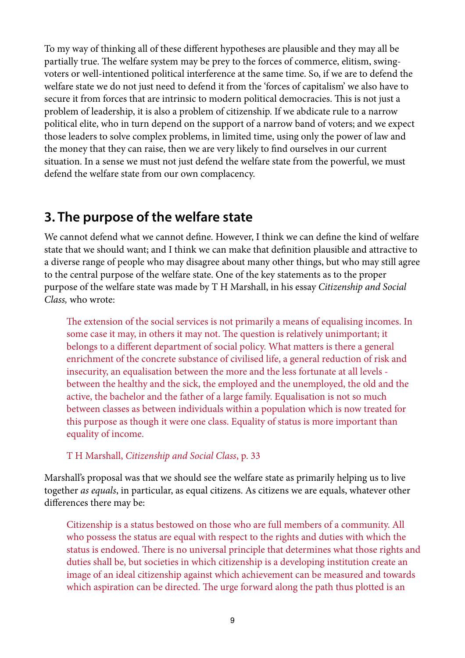To my way of thinking all of these different hypotheses are plausible and they may all be partially true. The welfare system may be prey to the forces of commerce, elitism, swingvoters or well-intentioned political interference at the same time. So, if we are to defend the welfare state we do not just need to defend it from the 'forces of capitalism' we also have to secure it from forces that are intrinsic to modern political democracies. This is not just a problem of leadership, it is also a problem of citizenship. If we abdicate rule to a narrow political elite, who in turn depend on the support of a narrow band of voters; and we expect those leaders to solve complex problems, in limited time, using only the power of law and the money that they can raise, then we are very likely to fnd ourselves in our current situation. In a sense we must not just defend the welfare state from the powerful, we must defend the welfare state from our own complacency.

## **3. The purpose of the welfare state**

We cannot defend what we cannot defne. However, I think we can defne the kind of welfare state that we should want; and I think we can make that defnition plausible and attractive to a diverse range of people who may disagree about many other things, but who may still agree to the central purpose of the welfare state. One of the key statements as to the proper purpose of the welfare state was made by T H Marshall, in his essay *Citizenship and Social Class,* who wrote:

The extension of the social services is not primarily a means of equalising incomes. In some case it may, in others it may not. The question is relatively unimportant; it belongs to a different department of social policy. What matters is there a general enrichment of the concrete substance of civilised life, a general reduction of risk and insecurity, an equalisation between the more and the less fortunate at all levels between the healthy and the sick, the employed and the unemployed, the old and the active, the bachelor and the father of a large family. Equalisation is not so much between classes as between individuals within a population which is now treated for this purpose as though it were one class. Equality of status is more important than equality of income.

### T H Marshall, *Citizenship and Social Class*, p. 33

Marshall's proposal was that we should see the welfare state as primarily helping us to live together *as equals*, in particular, as equal citizens. As citizens we are equals, whatever other differences there may be:

Citizenship is a status bestowed on those who are full members of a community. All who possess the status are equal with respect to the rights and duties with which the status is endowed. There is no universal principle that determines what those rights and duties shall be, but societies in which citizenship is a developing institution create an image of an ideal citizenship against which achievement can be measured and towards which aspiration can be directed. The urge forward along the path thus plotted is an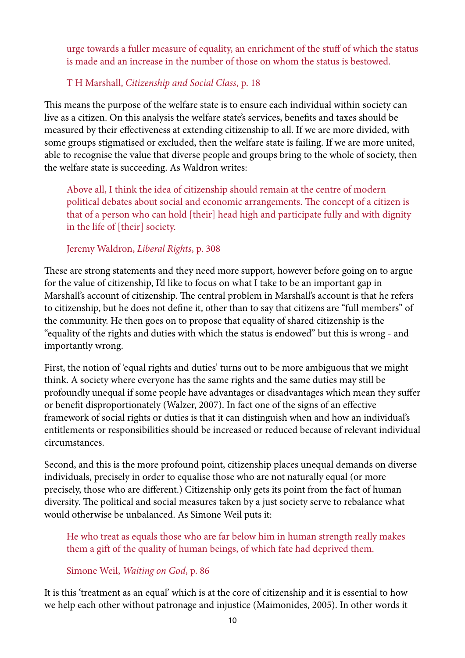urge towards a fuller measure of equality, an enrichment of the stuff of which the status is made and an increase in the number of those on whom the status is bestowed.

### T H Marshall, *Citizenship and Social Class*, p. 18

This means the purpose of the welfare state is to ensure each individual within society can live as a citizen. On this analysis the welfare state's services, benefts and taxes should be measured by their effectiveness at extending citizenship to all. If we are more divided, with some groups stigmatised or excluded, then the welfare state is failing. If we are more united, able to recognise the value that diverse people and groups bring to the whole of society, then the welfare state is succeeding. As Waldron writes:

Above all, I think the idea of citizenship should remain at the centre of modern political debates about social and economic arrangements. The concept of a citizen is that of a person who can hold [their] head high and participate fully and with dignity in the life of [their] society.

#### Jeremy Waldron, *Liberal Rights*, p. 308

These are strong statements and they need more support, however before going on to argue for the value of citizenship, I'd like to focus on what I take to be an important gap in Marshall's account of citizenship. The central problem in Marshall's account is that he refers to citizenship, but he does not defne it, other than to say that citizens are "full members" of the community. He then goes on to propose that equality of shared citizenship is the "equality of the rights and duties with which the status is endowed" but this is wrong - and importantly wrong.

First, the notion of 'equal rights and duties' turns out to be more ambiguous that we might think. A society where everyone has the same rights and the same duties may still be profoundly unequal if some people have advantages or disadvantages which mean they suffer or beneft disproportionately (Walzer, 2007). In fact one of the signs of an effective framework of social rights or duties is that it can distinguish when and how an individual's entitlements or responsibilities should be increased or reduced because of relevant individual circumstances.

Second, and this is the more profound point, citizenship places unequal demands on diverse individuals, precisely in order to equalise those who are not naturally equal (or more precisely, those who are different.) Citizenship only gets its point from the fact of human diversity. The political and social measures taken by a just society serve to rebalance what would otherwise be unbalanced. As Simone Weil puts it:

He who treat as equals those who are far below him in human strength really makes them a gif of the quality of human beings, of which fate had deprived them.

### Simone Weil, *Waiting on God*, p. 86

It is this 'treatment as an equal' which is at the core of citizenship and it is essential to how we help each other without patronage and injustice (Maimonides, 2005). In other words it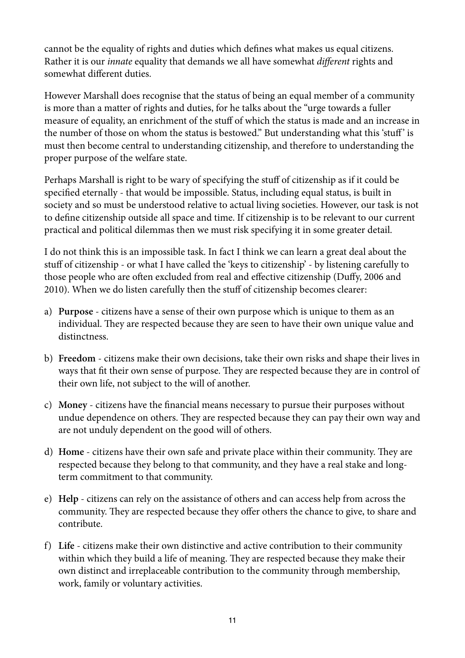cannot be the equality of rights and duties which defnes what makes us equal citizens. Rather it is our *innate* equality that demands we all have somewhat *di*ff*erent* rights and somewhat different duties.

However Marshall does recognise that the status of being an equal member of a community is more than a matter of rights and duties, for he talks about the "urge towards a fuller measure of equality, an enrichment of the stuff of which the status is made and an increase in the number of those on whom the status is bestowed." But understanding what this 'stuff' is must then become central to understanding citizenship, and therefore to understanding the proper purpose of the welfare state.

Perhaps Marshall is right to be wary of specifying the stuff of citizenship as if it could be specifed eternally - that would be impossible. Status, including equal status, is built in society and so must be understood relative to actual living societies. However, our task is not to defne citizenship outside all space and time. If citizenship is to be relevant to our current practical and political dilemmas then we must risk specifying it in some greater detail.

I do not think this is an impossible task. In fact I think we can learn a great deal about the stuff of citizenship - or what I have called the 'keys to citizenship' - by listening carefully to those people who are often excluded from real and effective citizenship (Duffy, 2006 and 2010). When we do listen carefully then the stuff of citizenship becomes clearer:

- a) **Purpose** citizens have a sense of their own purpose which is unique to them as an individual. They are respected because they are seen to have their own unique value and distinctness.
- b) **Freedom** citizens make their own decisions, take their own risks and shape their lives in ways that fit their own sense of purpose. They are respected because they are in control of their own life, not subject to the will of another.
- c) **Money** citizens have the fnancial means necessary to pursue their purposes without undue dependence on others. They are respected because they can pay their own way and are not unduly dependent on the good will of others.
- d) **Home** citizens have their own safe and private place within their community. They are respected because they belong to that community, and they have a real stake and longterm commitment to that community.
- e) **Help** citizens can rely on the assistance of others and can access help from across the community. They are respected because they offer others the chance to give, to share and contribute.
- f) **Life** citizens make their own distinctive and active contribution to their community within which they build a life of meaning. They are respected because they make their own distinct and irreplaceable contribution to the community through membership, work, family or voluntary activities.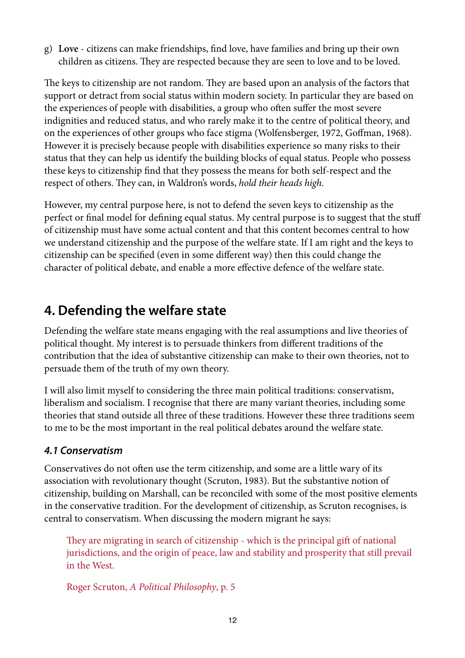g) **Love** - citizens can make friendships, fnd love, have families and bring up their own children as citizens. They are respected because they are seen to love and to be loved.

The keys to citizenship are not random. They are based upon an analysis of the factors that support or detract from social status within modern society. In particular they are based on the experiences of people with disabilities, a group who ofen suffer the most severe indignities and reduced status, and who rarely make it to the centre of political theory, and on the experiences of other groups who face stigma (Wolfensberger, 1972, Goffman, 1968). However it is precisely because people with disabilities experience so many risks to their status that they can help us identify the building blocks of equal status. People who possess these keys to citizenship fnd that they possess the means for both self-respect and the respect of others. They can, in Waldron's words, *hold their heads high*.

However, my central purpose here, is not to defend the seven keys to citizenship as the perfect or fnal model for defning equal status. My central purpose is to suggest that the stuff of citizenship must have some actual content and that this content becomes central to how we understand citizenship and the purpose of the welfare state. If I am right and the keys to citizenship can be specifed (even in some different way) then this could change the character of political debate, and enable a more effective defence of the welfare state.

# **4. Defending the welfare state**

Defending the welfare state means engaging with the real assumptions and live theories of political thought. My interest is to persuade thinkers from different traditions of the contribution that the idea of substantive citizenship can make to their own theories, not to persuade them of the truth of my own theory.

I will also limit myself to considering the three main political traditions: conservatism, liberalism and socialism. I recognise that there are many variant theories, including some theories that stand outside all three of these traditions. However these three traditions seem to me to be the most important in the real political debates around the welfare state.

### *4.1 Conservatism*

Conservatives do not ofen use the term citizenship, and some are a little wary of its association with revolutionary thought (Scruton, 1983). But the substantive notion of citizenship, building on Marshall, can be reconciled with some of the most positive elements in the conservative tradition. For the development of citizenship, as Scruton recognises, is central to conservatism. When discussing the modern migrant he says:

They are migrating in search of citizenship - which is the principal gift of national jurisdictions, and the origin of peace, law and stability and prosperity that still prevail in the West.

Roger Scruton, *A Political Philosophy*, p. 5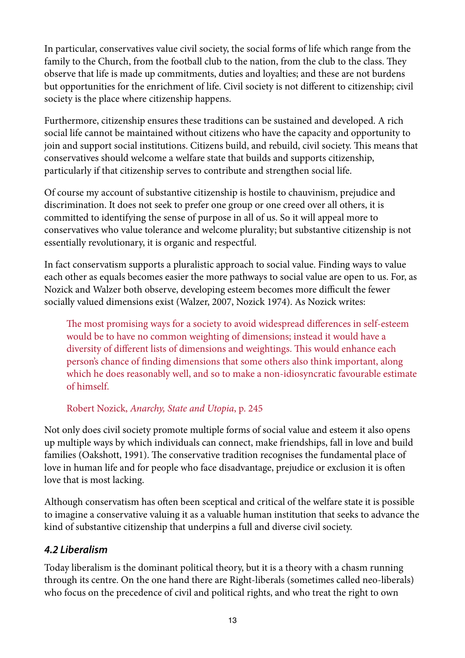In particular, conservatives value civil society, the social forms of life which range from the family to the Church, from the football club to the nation, from the club to the class. They observe that life is made up commitments, duties and loyalties; and these are not burdens but opportunities for the enrichment of life. Civil society is not different to citizenship; civil society is the place where citizenship happens.

Furthermore, citizenship ensures these traditions can be sustained and developed. A rich social life cannot be maintained without citizens who have the capacity and opportunity to join and support social institutions. Citizens build, and rebuild, civil society. This means that conservatives should welcome a welfare state that builds and supports citizenship, particularly if that citizenship serves to contribute and strengthen social life.

Of course my account of substantive citizenship is hostile to chauvinism, prejudice and discrimination. It does not seek to prefer one group or one creed over all others, it is committed to identifying the sense of purpose in all of us. So it will appeal more to conservatives who value tolerance and welcome plurality; but substantive citizenship is not essentially revolutionary, it is organic and respectful.

In fact conservatism supports a pluralistic approach to social value. Finding ways to value each other as equals becomes easier the more pathways to social value are open to us. For, as Nozick and Walzer both observe, developing esteem becomes more difficult the fewer socially valued dimensions exist (Walzer, 2007, Nozick 1974). As Nozick writes:

The most promising ways for a society to avoid widespread differences in self-esteem would be to have no common weighting of dimensions; instead it would have a diversity of different lists of dimensions and weightings. This would enhance each person's chance of fnding dimensions that some others also think important, along which he does reasonably well, and so to make a non-idiosyncratic favourable estimate of himself.

Robert Nozick, *Anarchy, State and Utopia*, p. 245

Not only does civil society promote multiple forms of social value and esteem it also opens up multiple ways by which individuals can connect, make friendships, fall in love and build families (Oakshott, 1991). The conservative tradition recognises the fundamental place of love in human life and for people who face disadvantage, prejudice or exclusion it is often love that is most lacking.

Although conservatism has ofen been sceptical and critical of the welfare state it is possible to imagine a conservative valuing it as a valuable human institution that seeks to advance the kind of substantive citizenship that underpins a full and diverse civil society.

### *4.2 Liberalism*

Today liberalism is the dominant political theory, but it is a theory with a chasm running through its centre. On the one hand there are Right-liberals (sometimes called neo-liberals) who focus on the precedence of civil and political rights, and who treat the right to own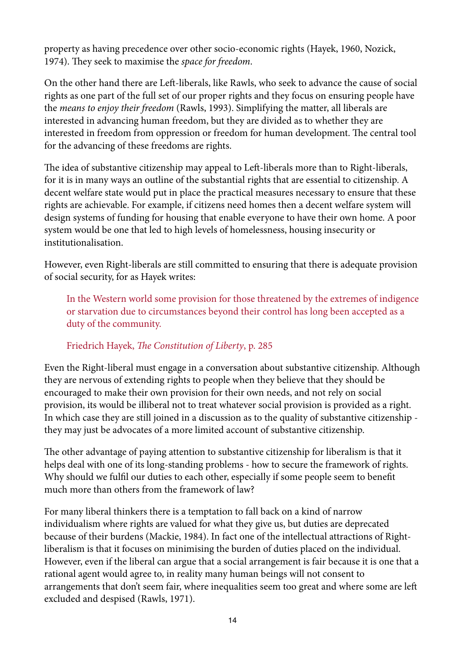property as having precedence over other socio-economic rights (Hayek, 1960, Nozick, 1974). They seek to maximise the *space for freedom*.

On the other hand there are Left-liberals, like Rawls, who seek to advance the cause of social rights as one part of the full set of our proper rights and they focus on ensuring people have the *means to enjoy their freedom* (Rawls, 1993). Simplifying the matter, all liberals are interested in advancing human freedom, but they are divided as to whether they are interested in freedom from oppression or freedom for human development. The central tool for the advancing of these freedoms are rights.

The idea of substantive citizenship may appeal to Left-liberals more than to Right-liberals, for it is in many ways an outline of the substantial rights that are essential to citizenship. A decent welfare state would put in place the practical measures necessary to ensure that these rights are achievable. For example, if citizens need homes then a decent welfare system will design systems of funding for housing that enable everyone to have their own home. A poor system would be one that led to high levels of homelessness, housing insecurity or institutionalisation.

However, even Right-liberals are still committed to ensuring that there is adequate provision of social security, for as Hayek writes:

In the Western world some provision for those threatened by the extremes of indigence or starvation due to circumstances beyond their control has long been accepted as a duty of the community.

### Friedrich Hayek, T*e Constitution of Liberty*, p. 285

Even the Right-liberal must engage in a conversation about substantive citizenship. Although they are nervous of extending rights to people when they believe that they should be encouraged to make their own provision for their own needs, and not rely on social provision, its would be illiberal not to treat whatever social provision is provided as a right. In which case they are still joined in a discussion as to the quality of substantive citizenship they may just be advocates of a more limited account of substantive citizenship.

The other advantage of paying attention to substantive citizenship for liberalism is that it helps deal with one of its long-standing problems - how to secure the framework of rights. Why should we fulfl our duties to each other, especially if some people seem to beneft much more than others from the framework of law?

For many liberal thinkers there is a temptation to fall back on a kind of narrow individualism where rights are valued for what they give us, but duties are deprecated because of their burdens (Mackie, 1984). In fact one of the intellectual attractions of Rightliberalism is that it focuses on minimising the burden of duties placed on the individual. However, even if the liberal can argue that a social arrangement is fair because it is one that a rational agent would agree to, in reality many human beings will not consent to arrangements that don't seem fair, where inequalities seem too great and where some are lef excluded and despised (Rawls, 1971).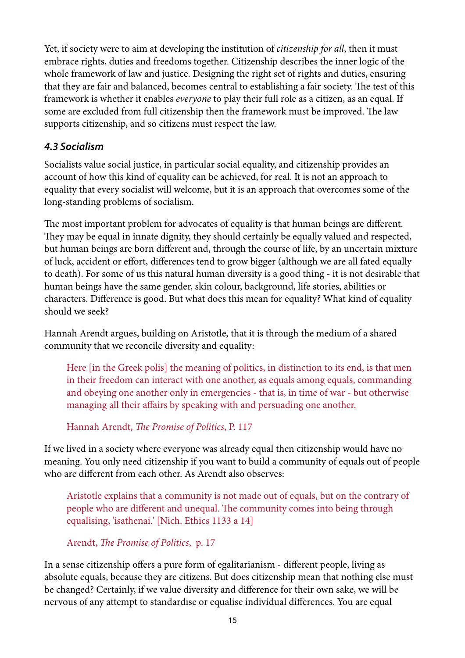Yet, if society were to aim at developing the institution of *citizenship for all*, then it must embrace rights, duties and freedoms together. Citizenship describes the inner logic of the whole framework of law and justice. Designing the right set of rights and duties, ensuring that they are fair and balanced, becomes central to establishing a fair society. The test of this framework is whether it enables *everyone* to play their full role as a citizen, as an equal. If some are excluded from full citizenship then the framework must be improved. The law supports citizenship, and so citizens must respect the law.

### *4.3 Socialism*

Socialists value social justice, in particular social equality, and citizenship provides an account of how this kind of equality can be achieved, for real. It is not an approach to equality that every socialist will welcome, but it is an approach that overcomes some of the long-standing problems of socialism.

The most important problem for advocates of equality is that human beings are different. They may be equal in innate dignity, they should certainly be equally valued and respected, but human beings are born different and, through the course of life, by an uncertain mixture of luck, accident or effort, differences tend to grow bigger (although we are all fated equally to death). For some of us this natural human diversity is a good thing - it is not desirable that human beings have the same gender, skin colour, background, life stories, abilities or characters. Difference is good. But what does this mean for equality? What kind of equality should we seek?

Hannah Arendt argues, building on Aristotle, that it is through the medium of a shared community that we reconcile diversity and equality:

Here [in the Greek polis] the meaning of politics, in distinction to its end, is that men in their freedom can interact with one another, as equals among equals, commanding and obeying one another only in emergencies - that is, in time of war - but otherwise managing all their affairs by speaking with and persuading one another.

Hannah Arendt, T*e Promise of Politics*, P. 117

If we lived in a society where everyone was already equal then citizenship would have no meaning. You only need citizenship if you want to build a community of equals out of people who are different from each other. As Arendt also observes:

Aristotle explains that a community is not made out of equals, but on the contrary of people who are different and unequal. The community comes into being through equalising, 'isathenai.' [Nich. Ethics 1133 a 14]

Arendt, T*e Promise of Politics*, p. 17

In a sense citizenship offers a pure form of egalitarianism - different people, living as absolute equals, because they are citizens. But does citizenship mean that nothing else must be changed? Certainly, if we value diversity and difference for their own sake, we will be nervous of any attempt to standardise or equalise individual differences. You are equal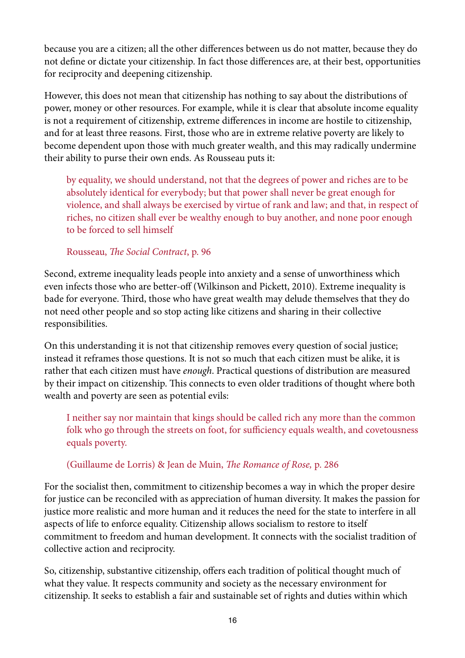because you are a citizen; all the other differences between us do not matter, because they do not defne or dictate your citizenship. In fact those differences are, at their best, opportunities for reciprocity and deepening citizenship.

However, this does not mean that citizenship has nothing to say about the distributions of power, money or other resources. For example, while it is clear that absolute income equality is not a requirement of citizenship, extreme differences in income are hostile to citizenship, and for at least three reasons. First, those who are in extreme relative poverty are likely to become dependent upon those with much greater wealth, and this may radically undermine their ability to purse their own ends. As Rousseau puts it:

by equality, we should understand, not that the degrees of power and riches are to be absolutely identical for everybody; but that power shall never be great enough for violence, and shall always be exercised by virtue of rank and law; and that, in respect of riches, no citizen shall ever be wealthy enough to buy another, and none poor enough to be forced to sell himself

#### Rousseau, T*e Social Contract*, p. 96

Second, extreme inequality leads people into anxiety and a sense of unworthiness which even infects those who are better-off (Wilkinson and Pickett, 2010). Extreme inequality is bade for everyone. Third, those who have great wealth may delude themselves that they do not need other people and so stop acting like citizens and sharing in their collective responsibilities.

On this understanding it is not that citizenship removes every question of social justice; instead it reframes those questions. It is not so much that each citizen must be alike, it is rather that each citizen must have *enough*. Practical questions of distribution are measured by their impact on citizenship. This connects to even older traditions of thought where both wealth and poverty are seen as potential evils:

I neither say nor maintain that kings should be called rich any more than the common folk who go through the streets on foot, for sufficiency equals wealth, and covetousness equals poverty.

### (Guillaume de Lorris) & Jean de Muin, T*e Romance of Rose,* p. 286

For the socialist then, commitment to citizenship becomes a way in which the proper desire for justice can be reconciled with as appreciation of human diversity. It makes the passion for justice more realistic and more human and it reduces the need for the state to interfere in all aspects of life to enforce equality. Citizenship allows socialism to restore to itself commitment to freedom and human development. It connects with the socialist tradition of collective action and reciprocity.

So, citizenship, substantive citizenship, offers each tradition of political thought much of what they value. It respects community and society as the necessary environment for citizenship. It seeks to establish a fair and sustainable set of rights and duties within which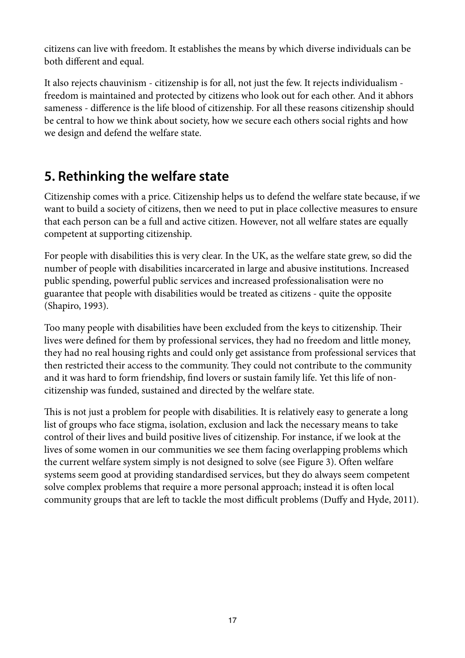citizens can live with freedom. It establishes the means by which diverse individuals can be both different and equal.

It also rejects chauvinism - citizenship is for all, not just the few. It rejects individualism freedom is maintained and protected by citizens who look out for each other. And it abhors sameness - difference is the life blood of citizenship. For all these reasons citizenship should be central to how we think about society, how we secure each others social rights and how we design and defend the welfare state.

# **5. Rethinking the welfare state**

Citizenship comes with a price. Citizenship helps us to defend the welfare state because, if we want to build a society of citizens, then we need to put in place collective measures to ensure that each person can be a full and active citizen. However, not all welfare states are equally competent at supporting citizenship.

For people with disabilities this is very clear. In the UK, as the welfare state grew, so did the number of people with disabilities incarcerated in large and abusive institutions. Increased public spending, powerful public services and increased professionalisation were no guarantee that people with disabilities would be treated as citizens - quite the opposite (Shapiro, 1993).

Too many people with disabilities have been excluded from the keys to citizenship. Their lives were defned for them by professional services, they had no freedom and little money, they had no real housing rights and could only get assistance from professional services that then restricted their access to the community. They could not contribute to the community and it was hard to form friendship, fnd lovers or sustain family life. Yet this life of noncitizenship was funded, sustained and directed by the welfare state.

This is not just a problem for people with disabilities. It is relatively easy to generate a long list of groups who face stigma, isolation, exclusion and lack the necessary means to take control of their lives and build positive lives of citizenship. For instance, if we look at the lives of some women in our communities we see them facing overlapping problems which the current welfare system simply is not designed to solve (see Figure 3). Often welfare systems seem good at providing standardised services, but they do always seem competent solve complex problems that require a more personal approach; instead it is ofen local community groups that are left to tackle the most difficult problems (Duffy and Hyde, 2011).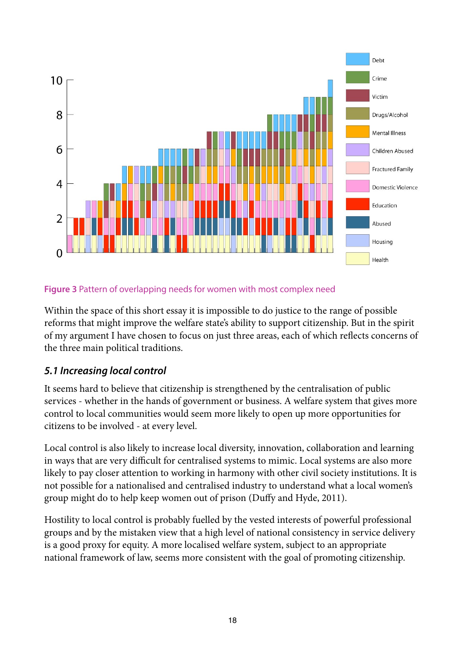

#### **Figure 3** Pattern of overlapping needs for women with most complex need

Within the space of this short essay it is impossible to do justice to the range of possible reforms that might improve the welfare state's ability to support citizenship. But in the spirit of my argument I have chosen to focus on just three areas, each of which refects concerns of the three main political traditions.

### *5.1 Increasing local control*

It seems hard to believe that citizenship is strengthened by the centralisation of public services - whether in the hands of government or business. A welfare system that gives more control to local communities would seem more likely to open up more opportunities for citizens to be involved - at every level.

Local control is also likely to increase local diversity, innovation, collaboration and learning in ways that are very difficult for centralised systems to mimic. Local systems are also more likely to pay closer attention to working in harmony with other civil society institutions. It is not possible for a nationalised and centralised industry to understand what a local women's group might do to help keep women out of prison (Duffy and Hyde, 2011).

Hostility to local control is probably fuelled by the vested interests of powerful professional groups and by the mistaken view that a high level of national consistency in service delivery is a good proxy for equity. A more localised welfare system, subject to an appropriate national framework of law, seems more consistent with the goal of promoting citizenship.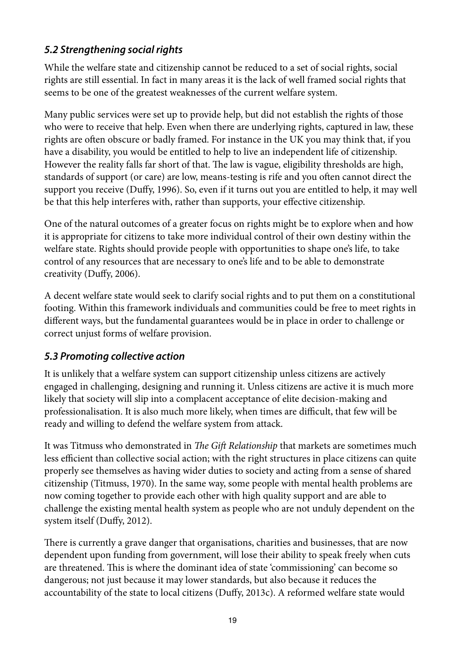### *5.2 Strengthening social rights*

While the welfare state and citizenship cannot be reduced to a set of social rights, social rights are still essential. In fact in many areas it is the lack of well framed social rights that seems to be one of the greatest weaknesses of the current welfare system.

Many public services were set up to provide help, but did not establish the rights of those who were to receive that help. Even when there are underlying rights, captured in law, these rights are often obscure or badly framed. For instance in the UK you may think that, if you have a disability, you would be entitled to help to live an independent life of citizenship. However the reality falls far short of that. The law is vague, eligibility thresholds are high, standards of support (or care) are low, means-testing is rife and you ofen cannot direct the support you receive (Duffy, 1996). So, even if it turns out you are entitled to help, it may well be that this help interferes with, rather than supports, your effective citizenship.

One of the natural outcomes of a greater focus on rights might be to explore when and how it is appropriate for citizens to take more individual control of their own destiny within the welfare state. Rights should provide people with opportunities to shape one's life, to take control of any resources that are necessary to one's life and to be able to demonstrate creativity (Duffy, 2006).

A decent welfare state would seek to clarify social rights and to put them on a constitutional footing. Within this framework individuals and communities could be free to meet rights in different ways, but the fundamental guarantees would be in place in order to challenge or correct unjust forms of welfare provision.

### *5.3 Promoting collective action*

It is unlikely that a welfare system can support citizenship unless citizens are actively engaged in challenging, designing and running it. Unless citizens are active it is much more likely that society will slip into a complacent acceptance of elite decision-making and professionalisation. It is also much more likely, when times are difficult, that few will be ready and willing to defend the welfare system from attack.

It was Titmuss who demonstrated in *The Gift Relationship* that markets are sometimes much less efficient than collective social action; with the right structures in place citizens can quite properly see themselves as having wider duties to society and acting from a sense of shared citizenship (Titmuss, 1970). In the same way, some people with mental health problems are now coming together to provide each other with high quality support and are able to challenge the existing mental health system as people who are not unduly dependent on the system itself (Duffy, 2012).

There is currently a grave danger that organisations, charities and businesses, that are now dependent upon funding from government, will lose their ability to speak freely when cuts are threatened. This is where the dominant idea of state 'commissioning' can become so dangerous; not just because it may lower standards, but also because it reduces the accountability of the state to local citizens (Duffy, 2013c). A reformed welfare state would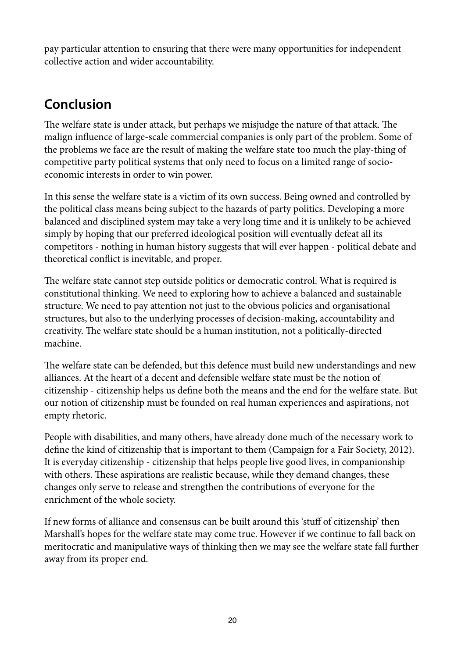pay particular attention to ensuring that there were many opportunities for independent collective action and wider accountability.

# **Conclusion**

The welfare state is under attack, but perhaps we misjudge the nature of that attack. The malign infuence of large-scale commercial companies is only part of the problem. Some of the problems we face are the result of making the welfare state too much the play-thing of competitive party political systems that only need to focus on a limited range of socioeconomic interests in order to win power.

In this sense the welfare state is a victim of its own success. Being owned and controlled by the political class means being subject to the hazards of party politics. Developing a more balanced and disciplined system may take a very long time and it is unlikely to be achieved simply by hoping that our preferred ideological position will eventually defeat all its competitors - nothing in human history suggests that will ever happen - political debate and theoretical confict is inevitable, and proper.

The welfare state cannot step outside politics or democratic control. What is required is constitutional thinking. We need to exploring how to achieve a balanced and sustainable structure. We need to pay attention not just to the obvious policies and organisational structures, but also to the underlying processes of decision-making, accountability and creativity. The welfare state should be a human institution, not a politically-directed machine.

The welfare state can be defended, but this defence must build new understandings and new alliances. At the heart of a decent and defensible welfare state must be the notion of citizenship - citizenship helps us defne both the means and the end for the welfare state. But our notion of citizenship must be founded on real human experiences and aspirations, not empty rhetoric.

People with disabilities, and many others, have already done much of the necessary work to defne the kind of citizenship that is important to them (Campaign for a Fair Society, 2012). It is everyday citizenship - citizenship that helps people live good lives, in companionship with others. These aspirations are realistic because, while they demand changes, these changes only serve to release and strengthen the contributions of everyone for the enrichment of the whole society.

If new forms of alliance and consensus can be built around this 'stuff of citizenship' then Marshall's hopes for the welfare state may come true. However if we continue to fall back on meritocratic and manipulative ways of thinking then we may see the welfare state fall further away from its proper end.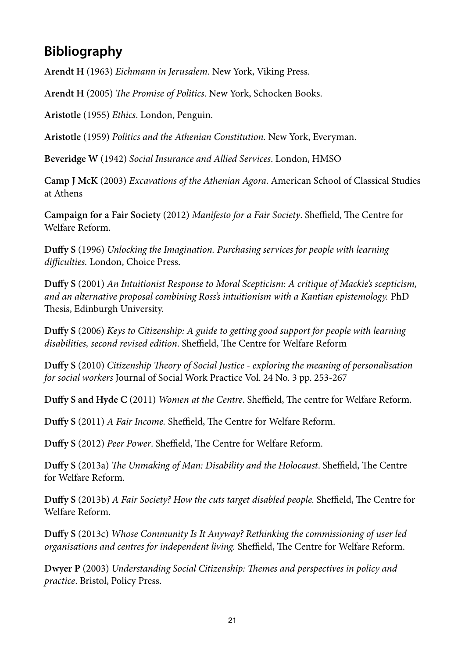# **Bibliography**

**Arendt H** (1963) *Eichmann in Jerusalem*. New York, Viking Press.

Arendt H (2005) The Promise of Politics. New York, Schocken Books.

**Aristotle** (1955) *Ethics*. London, Penguin.

**Aristotle** (1959) *Politics and the Athenian Constitution.* New York, Everyman.

**Beveridge W** (1942) *Social Insurance and Allied Services*. London, HMSO

**Camp J McK** (2003) *Excavations of the Athenian Agora*. American School of Classical Studies at Athens

**Campaign for a Fair Society** (2012) *Manifesto for a Fair Society*. Sheffield, The Centre for Welfare Reform.

**Duffy S** (1996) *Unlocking the Imagination. Purchasing services for people with learning di*ffi*culties.* London, Choice Press.

**Duffy S** (2001) *An Intuitionist Response to Moral Scepticism: A critique of Mackie's scepticism, and an alternative proposal combining Ross's intuitionism with a Kantian epistemology.* PhD Thesis, Edinburgh University.

**Duffy S** (2006) *Keys to Citizenship: A guide to getting good support for people with learning*  disabilities, second revised edition. Sheffield, The Centre for Welfare Reform

**Duffy S** (2010) *Citizenship* T*eory of Social Justice - exploring the meaning of personalisation for social workers* Journal of Social Work Practice Vol. 24 No. 3 pp. 253-267

**Duffy S and Hyde C** (2011) *Women at the Centre*. Sheffield, The centre for Welfare Reform.

**Duffy S** (2011) *A Fair Income.* Sheffield, The Centre for Welfare Reform.

**Duffy S** (2012) *Peer Power*. Sheffield, The Centre for Welfare Reform.

**Duffy S** (2013a) The Unmaking of Man: Disability and the Holocaust. Sheffield, The Centre for Welfare Reform.

**Duffy S** (2013b) *A Fair Society? How the cuts target disabled people. Sheffield, The Centre for* Welfare Reform.

**Duffy S** (2013c) *Whose Community Is It Anyway? Rethinking the commissioning of user led organisations and centres for independent living. Sheffield, The Centre for Welfare Reform.* 

**Dwyer P** (2003) *Understanding Social Citizenship:* T*emes and perspectives in policy and practice*. Bristol, Policy Press.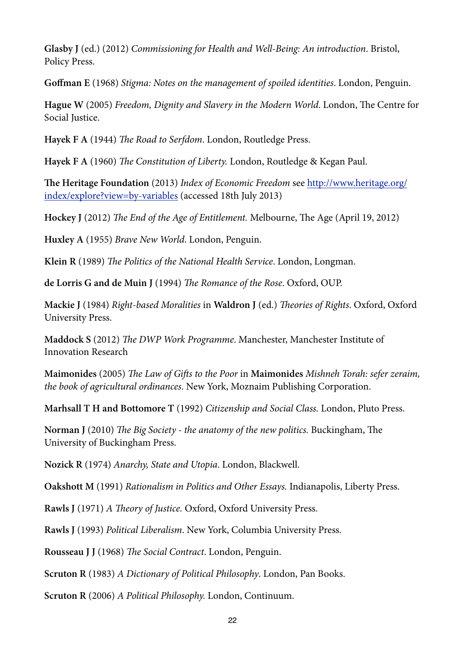**Glasby J** (ed.) (2012) *Commissioning for Health and Well-Being: An introduction*. Bristol, Policy Press.

**Goffman E** (1968) *Stigma: Notes on the management of spoiled identities*. London, Penguin.

**Hague W** (2005) *Freedom, Dignity and Slavery in the Modern World.* London, The Centre for Social Justice.

Hayek F A (1944) *The Road to Serfdom*. London, Routledge Press.

**Hayek F A** (1960) T*e Constitution of Liberty.* London, Routledge & Kegan Paul.

**Te Heritage Foundation** (2013) *Index of Economic Freedom* see http://www.heritage.org/ index/explore?view=by-variables (accessed 18th July 2013)

**Hockey J** (2012) *The End of the Age of Entitlement.* Melbourne, The Age (April 19, 2012)

**Huxley A** (1955) *Brave New World*. London, Penguin.

**Klein R** (1989) T*e Politics of the National Health Service*. London, Longman.

**de Lorris G and de Muin J** (1994) T*e Romance of the Rose*. Oxford, OUP.

**Mackie J** (1984) *Right-based Moralities* in **Waldron J** (ed.) T*eories of Rights*. Oxford, Oxford University Press.

**Maddock S** (2012) T*e DWP Work Programme*. Manchester, Manchester Institute of Innovation Research

**Maimonides** (2005) T*e Law of Gi*f*s to the Poor* in **Maimonides** *Mishneh Torah: sefer zeraim, the book of agricultural ordinances*. New York, Moznaim Publishing Corporation.

**Marhsall T H and Bottomore T** (1992) *Citizenship and Social Class.* London, Pluto Press.

**Norman J** (2010) *The Big Society - the anatomy of the new politics. Buckingham, The* University of Buckingham Press.

**Nozick R** (1974) *Anarchy, State and Utopia*. London, Blackwell.

**Oakshott M** (1991) *Rationalism in Politics and Other Essays.* Indianapolis, Liberty Press.

**Rawls J** (1971) *A* T*eory of Justice.* Oxford, Oxford University Press.

**Rawls J** (1993) *Political Liberalism*. New York, Columbia University Press.

**Rousseau J J** (1968) T*e Social Contract*. London, Penguin.

**Scruton R** (1983) *A Dictionary of Political Philosophy*. London, Pan Books.

**Scruton R** (2006) *A Political Philosophy.* London, Continuum.